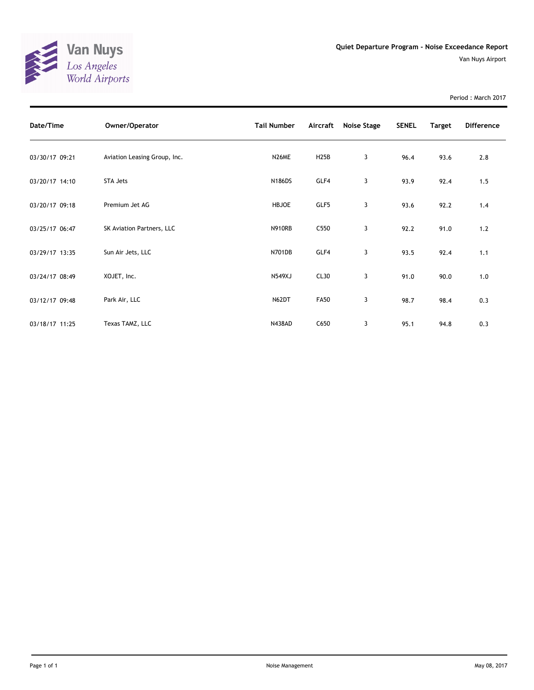

Period : March 2017

| Date/Time      | Owner/Operator               | <b>Tail Number</b> | Aircraft          | Noise Stage | <b>SENEL</b> | <b>Target</b> | <b>Difference</b> |
|----------------|------------------------------|--------------------|-------------------|-------------|--------------|---------------|-------------------|
| 03/30/17 09:21 | Aviation Leasing Group, Inc. | N26ME              | H <sub>25</sub> B | 3           | 96.4         | 93.6          | 2.8               |
| 03/20/17 14:10 | STA Jets                     | <b>N186DS</b>      | GLF4              | 3           | 93.9         | 92.4          | 1.5               |
| 03/20/17 09:18 | Premium Jet AG               | <b>HBJOE</b>       | GLF5              | 3           | 93.6         | 92.2          | 1.4               |
| 03/25/17 06:47 | SK Aviation Partners, LLC    | <b>N910RB</b>      | C550              | 3           | 92.2         | 91.0          | 1.2               |
| 03/29/17 13:35 | Sun Air Jets, LLC            | <b>N701DB</b>      | GLF4              | 3           | 93.5         | 92.4          | 1.1               |
| 03/24/17 08:49 | XOJET, Inc.                  | <b>N549XJ</b>      | CL30              | 3           | 91.0         | 90.0          | 1.0               |
| 03/12/17 09:48 | Park Air, LLC                | N62DT              | <b>FA50</b>       | 3           | 98.7         | 98.4          | 0.3               |
| 03/18/17 11:25 | Texas TAMZ, LLC              | <b>N438AD</b>      | C650              | 3           | 95.1         | 94.8          | 0.3               |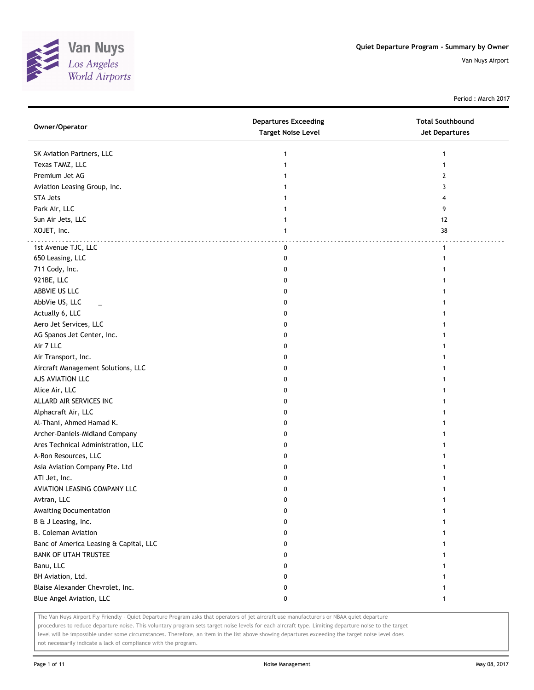

Period : March 2017

| Owner/Operator                         | <b>Departures Exceeding</b><br><b>Target Noise Level</b> | <b>Total Southbound</b><br>Jet Departures |
|----------------------------------------|----------------------------------------------------------|-------------------------------------------|
| SK Aviation Partners, LLC              | 1                                                        | 1                                         |
| Texas TAMZ, LLC                        | 1                                                        | $\mathbf{1}$                              |
| Premium Jet AG                         | 1                                                        | $\overline{2}$                            |
| Aviation Leasing Group, Inc.           |                                                          | 3                                         |
| <b>STA Jets</b>                        |                                                          | 4                                         |
| Park Air, LLC                          |                                                          | 9                                         |
| Sun Air Jets, LLC                      | 1                                                        | 12                                        |
| XOJET, Inc.                            | 1                                                        | 38                                        |
| 1st Avenue TJC, LLC                    | 0                                                        | $\mathbf{1}$                              |
| 650 Leasing, LLC                       | 0                                                        | 1                                         |
| 711 Cody, Inc.                         | 0                                                        |                                           |
| 921BE, LLC                             | 0                                                        |                                           |
| ABBVIE US LLC                          | 0                                                        |                                           |
| AbbVie US, LLC                         | 0                                                        |                                           |
| Actually 6, LLC                        | 0                                                        |                                           |
| Aero Jet Services, LLC                 | 0                                                        |                                           |
| AG Spanos Jet Center, Inc.             | 0                                                        |                                           |
| Air 7 LLC                              | 0                                                        |                                           |
| Air Transport, Inc.                    | 0                                                        | 1                                         |
| Aircraft Management Solutions, LLC     | 0                                                        | 1                                         |
| AJS AVIATION LLC                       | 0                                                        |                                           |
| Alice Air, LLC                         | 0                                                        |                                           |
| ALLARD AIR SERVICES INC                | 0                                                        |                                           |
| Alphacraft Air, LLC                    | 0                                                        |                                           |
| Al-Thani, Ahmed Hamad K.               | 0                                                        |                                           |
| Archer-Daniels-Midland Company         | 0                                                        |                                           |
| Ares Technical Administration, LLC     | 0                                                        |                                           |
| A-Ron Resources, LLC                   | 0                                                        |                                           |
| Asia Aviation Company Pte. Ltd         | 0                                                        |                                           |
| ATI Jet, Inc.                          | 0                                                        |                                           |
| AVIATION LEASING COMPANY LLC           | 0                                                        |                                           |
| Avtran, LLC                            | 0                                                        |                                           |
| Awaiting Documentation                 | 0                                                        |                                           |
| B & J Leasing, Inc.                    | 0                                                        |                                           |
| <b>B. Coleman Aviation</b>             | 0                                                        |                                           |
| Banc of America Leasing & Capital, LLC | 0                                                        |                                           |
| <b>BANK OF UTAH TRUSTEE</b>            | 0                                                        |                                           |
| Banu, LLC                              | 0                                                        |                                           |
| BH Aviation, Ltd.                      | 0                                                        |                                           |
| Blaise Alexander Chevrolet, Inc.       | 0                                                        |                                           |
| Blue Angel Aviation, LLC               | 0                                                        | 1                                         |

The Van Nuys Airport Fly Friendly - Quiet Departure Program asks that operators of jet aircraft use manufacturer's or NBAA quiet departure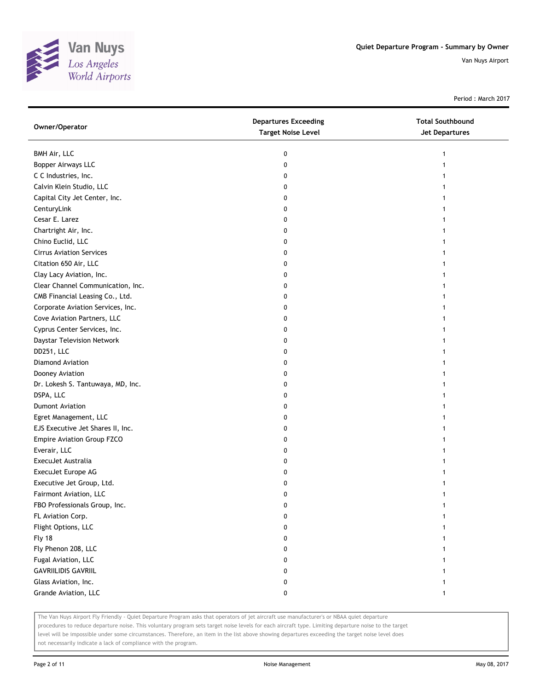

Period : March 2017

| Owner/Operator                    | <b>Departures Exceeding</b><br><b>Target Noise Level</b> | <b>Total Southbound</b><br>Jet Departures |
|-----------------------------------|----------------------------------------------------------|-------------------------------------------|
| BMH Air, LLC                      | 0                                                        | 1                                         |
| <b>Bopper Airways LLC</b>         | 0                                                        |                                           |
| C C Industries, Inc.              | 0                                                        |                                           |
| Calvin Klein Studio, LLC          | 0                                                        |                                           |
| Capital City Jet Center, Inc.     | 0                                                        |                                           |
| CenturyLink                       | 0                                                        | 1                                         |
| Cesar E. Larez                    | 0                                                        | 1                                         |
| Chartright Air, Inc.              | 0                                                        |                                           |
| Chino Euclid, LLC                 | 0                                                        |                                           |
| <b>Cirrus Aviation Services</b>   | 0                                                        |                                           |
| Citation 650 Air, LLC             | 0                                                        |                                           |
| Clay Lacy Aviation, Inc.          | 0                                                        |                                           |
| Clear Channel Communication, Inc. | 0                                                        |                                           |
| CMB Financial Leasing Co., Ltd.   | 0                                                        |                                           |
| Corporate Aviation Services, Inc. | 0                                                        |                                           |
| Cove Aviation Partners, LLC       | 0                                                        |                                           |
| Cyprus Center Services, Inc.      | 0                                                        |                                           |
| Daystar Television Network        | 0                                                        |                                           |
| DD251, LLC                        | 0                                                        |                                           |
| Diamond Aviation                  | 0                                                        |                                           |
| Dooney Aviation                   | 0                                                        |                                           |
| Dr. Lokesh S. Tantuwaya, MD, Inc. | 0                                                        |                                           |
| DSPA, LLC                         | 0                                                        |                                           |
| <b>Dumont Aviation</b>            | 0                                                        |                                           |
| Egret Management, LLC             | 0                                                        | 1                                         |
| EJS Executive Jet Shares II, Inc. | 0                                                        | 1                                         |
| Empire Aviation Group FZCO        | 0                                                        | 1                                         |
| Everair, LLC                      | 0                                                        |                                           |
| ExecuJet Australia                | 0                                                        |                                           |
| ExecuJet Europe AG                | 0                                                        |                                           |
| Executive Jet Group, Ltd.         | 0                                                        |                                           |
| Fairmont Aviation, LLC            | 0                                                        |                                           |
| FBO Professionals Group, Inc.     | 0                                                        |                                           |
| FL Aviation Corp.                 | 0                                                        |                                           |
| Flight Options, LLC               | 0                                                        |                                           |
| <b>Fly 18</b>                     | 0                                                        |                                           |
| Fly Phenon 208, LLC               | 0                                                        |                                           |
| Fugal Aviation, LLC               | 0                                                        |                                           |
| <b>GAVRIILIDIS GAVRIIL</b>        | 0                                                        |                                           |
| Glass Aviation, Inc.              | 0                                                        |                                           |
| Grande Aviation, LLC              | 0                                                        | $\mathbf{1}$                              |

The Van Nuys Airport Fly Friendly - Quiet Departure Program asks that operators of jet aircraft use manufacturer's or NBAA quiet departure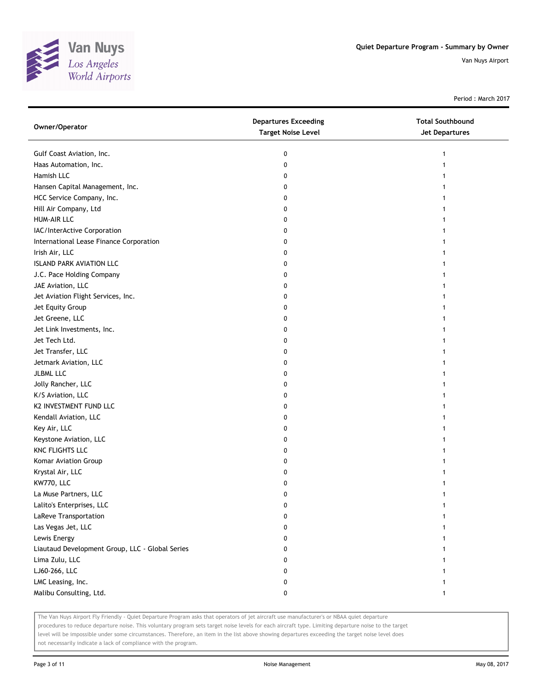

Period : March 2017

| Owner/Operator                                  | <b>Departures Exceeding</b><br><b>Target Noise Level</b> | <b>Total Southbound</b><br><b>Jet Departures</b> |
|-------------------------------------------------|----------------------------------------------------------|--------------------------------------------------|
| Gulf Coast Aviation, Inc.                       | 0                                                        | 1                                                |
| Haas Automation, Inc.                           | 0                                                        |                                                  |
| Hamish LLC                                      | 0                                                        |                                                  |
| Hansen Capital Management, Inc.                 | 0                                                        |                                                  |
| HCC Service Company, Inc.                       | 0                                                        |                                                  |
| Hill Air Company, Ltd                           | 0                                                        |                                                  |
| <b>HUM-AIR LLC</b>                              | 0                                                        | 1                                                |
| IAC/InterActive Corporation                     | 0                                                        | 1                                                |
| International Lease Finance Corporation         | 0                                                        |                                                  |
| Irish Air, LLC                                  | 0                                                        |                                                  |
| <b>ISLAND PARK AVIATION LLC</b>                 | 0                                                        |                                                  |
| J.C. Pace Holding Company                       | 0                                                        |                                                  |
| JAE Aviation, LLC                               | 0                                                        |                                                  |
| Jet Aviation Flight Services, Inc.              | 0                                                        |                                                  |
| Jet Equity Group                                | 0                                                        |                                                  |
| Jet Greene, LLC                                 | 0                                                        | 1                                                |
| Jet Link Investments, Inc.                      | 0                                                        | 1                                                |
| Jet Tech Ltd.                                   | 0                                                        | 1                                                |
| Jet Transfer, LLC                               | 0                                                        |                                                  |
| Jetmark Aviation, LLC                           | 0                                                        |                                                  |
| JLBML LLC                                       | 0                                                        |                                                  |
| Jolly Rancher, LLC                              | 0                                                        |                                                  |
| K/S Aviation, LLC                               | 0                                                        | 1                                                |
| K2 INVESTMENT FUND LLC                          | 0                                                        |                                                  |
| Kendall Aviation, LLC                           | 0                                                        | 1                                                |
| Key Air, LLC                                    | 0                                                        | 1                                                |
| Keystone Aviation, LLC                          | 0                                                        | 1                                                |
| <b>KNC FLIGHTS LLC</b>                          | 0                                                        | 1                                                |
| Komar Aviation Group                            | 0                                                        |                                                  |
| Krystal Air, LLC                                | 0                                                        |                                                  |
| KW770, LLC                                      | 0                                                        |                                                  |
| La Muse Partners, LLC                           | 0                                                        | 1                                                |
| Lalito's Enterprises, LLC                       | 0                                                        |                                                  |
| LaReve Transportation                           | 0                                                        |                                                  |
| Las Vegas Jet, LLC                              | 0                                                        |                                                  |
| Lewis Energy                                    | 0                                                        |                                                  |
| Liautaud Development Group, LLC - Global Series | 0                                                        |                                                  |
| Lima Zulu, LLC                                  | 0                                                        |                                                  |
| LJ60-266, LLC                                   | 0                                                        |                                                  |
| LMC Leasing, Inc.                               | 0                                                        |                                                  |
| Malibu Consulting, Ltd.                         | 0                                                        | 1                                                |

The Van Nuys Airport Fly Friendly - Quiet Departure Program asks that operators of jet aircraft use manufacturer's or NBAA quiet departure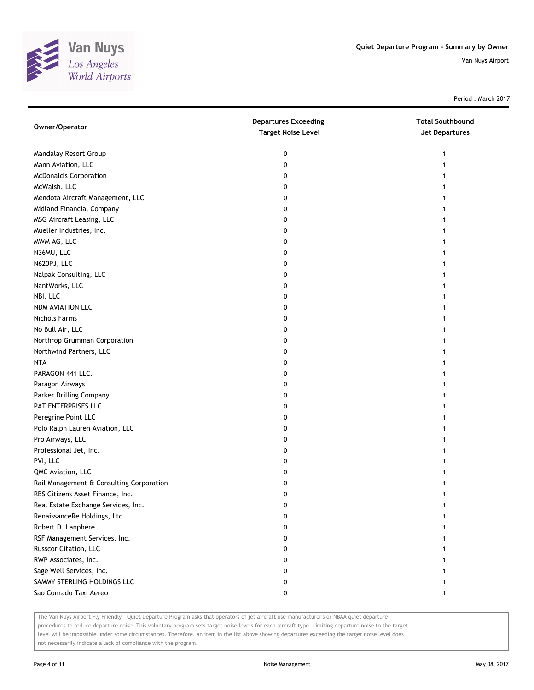

Period : March 2017

| Owner/Operator                           | <b>Departures Exceeding</b><br><b>Target Noise Level</b> | <b>Total Southbound</b><br><b>Jet Departures</b> |
|------------------------------------------|----------------------------------------------------------|--------------------------------------------------|
| Mandalay Resort Group                    | 0                                                        | 1                                                |
| Mann Aviation, LLC                       | 0                                                        |                                                  |
| <b>McDonald's Corporation</b>            | 0                                                        |                                                  |
| McWalsh, LLC                             | 0                                                        |                                                  |
| Mendota Aircraft Management, LLC         | 0                                                        |                                                  |
| Midland Financial Company                | 0                                                        |                                                  |
| MSG Aircraft Leasing, LLC                | 0                                                        |                                                  |
| Mueller Industries, Inc.                 | 0                                                        |                                                  |
| MWM AG, LLC                              | 0                                                        |                                                  |
| N36MU, LLC                               | 0                                                        |                                                  |
| N620PJ, LLC                              | 0                                                        |                                                  |
| Nalpak Consulting, LLC                   | 0                                                        |                                                  |
| NantWorks, LLC                           | 0                                                        |                                                  |
| NBI, LLC                                 | 0                                                        |                                                  |
| NDM AVIATION LLC                         | 0                                                        |                                                  |
| <b>Nichols Farms</b>                     | 0                                                        | 1                                                |
| No Bull Air, LLC                         | 0                                                        | 1                                                |
| Northrop Grumman Corporation             | 0                                                        | 1                                                |
| Northwind Partners, LLC                  | 0                                                        |                                                  |
| <b>NTA</b>                               | 0                                                        |                                                  |
| PARAGON 441 LLC.                         | 0                                                        |                                                  |
| Paragon Airways                          | 0                                                        |                                                  |
| Parker Drilling Company                  | 0                                                        | 1                                                |
| PAT ENTERPRISES LLC                      | 0                                                        |                                                  |
| Peregrine Point LLC                      | 0                                                        | 1                                                |
| Polo Ralph Lauren Aviation, LLC          | 0                                                        | 1                                                |
| Pro Airways, LLC                         | 0                                                        | 1                                                |
| Professional Jet, Inc.                   | 0                                                        | 1                                                |
| PVI, LLC                                 | 0                                                        |                                                  |
| QMC Aviation, LLC                        | 0                                                        |                                                  |
| Rail Management & Consulting Corporation | 0                                                        |                                                  |
| RBS Citizens Asset Finance, Inc.         | 0                                                        | 1                                                |
| Real Estate Exchange Services, Inc.      | 0                                                        |                                                  |
| RenaissanceRe Holdings, Ltd.             | 0                                                        |                                                  |
| Robert D. Lanphere                       | 0                                                        |                                                  |
| RSF Management Services, Inc.            | 0                                                        |                                                  |
| Russcor Citation, LLC                    | 0                                                        |                                                  |
| RWP Associates, Inc.                     | 0                                                        |                                                  |
| Sage Well Services, Inc.                 | 0                                                        |                                                  |
| SAMMY STERLING HOLDINGS LLC              | 0                                                        |                                                  |
| Sao Conrado Taxi Aereo                   | 0                                                        | 1                                                |

The Van Nuys Airport Fly Friendly - Quiet Departure Program asks that operators of jet aircraft use manufacturer's or NBAA quiet departure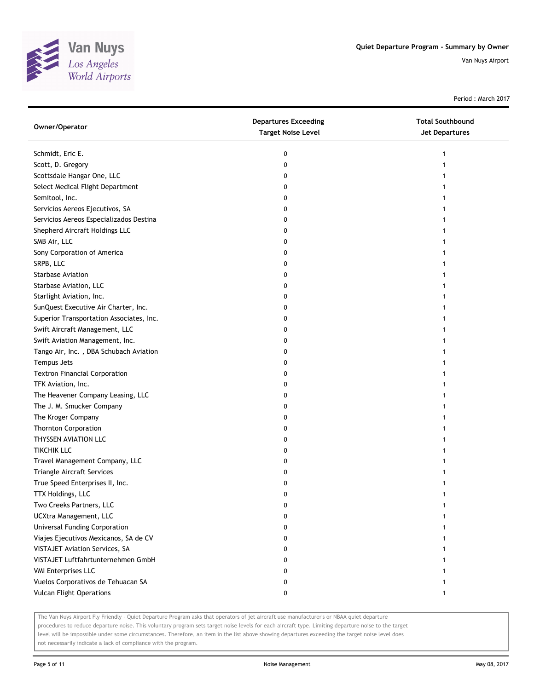

Period : March 2017

| Schmidt, Eric E.<br>0<br>Scott, D. Gregory<br>0<br>Scottsdale Hangar One, LLC<br>0<br>Select Medical Flight Department<br>0 |  |
|-----------------------------------------------------------------------------------------------------------------------------|--|
|                                                                                                                             |  |
|                                                                                                                             |  |
|                                                                                                                             |  |
|                                                                                                                             |  |
| Semitool, Inc.<br>0                                                                                                         |  |
| Servicios Aereos Ejecutivos, SA<br>0                                                                                        |  |
| Servicios Aereos Especializados Destina<br>0                                                                                |  |
| Shepherd Aircraft Holdings LLC<br>0                                                                                         |  |
| SMB Air, LLC<br>0                                                                                                           |  |
| Sony Corporation of America<br>0                                                                                            |  |
| SRPB, LLC<br>0                                                                                                              |  |
| <b>Starbase Aviation</b><br>0                                                                                               |  |
| Starbase Aviation, LLC<br>0                                                                                                 |  |
| Starlight Aviation, Inc.<br>0                                                                                               |  |
| SunQuest Executive Air Charter, Inc.<br>0                                                                                   |  |
| Superior Transportation Associates, Inc.<br>0                                                                               |  |
| Swift Aircraft Management, LLC<br>0                                                                                         |  |
| Swift Aviation Management, Inc.<br>0                                                                                        |  |
| Tango Air, Inc., DBA Schubach Aviation<br>0                                                                                 |  |
| Tempus Jets<br>0                                                                                                            |  |
| <b>Textron Financial Corporation</b><br>0                                                                                   |  |
| TFK Aviation, Inc.<br>0                                                                                                     |  |
| The Heavener Company Leasing, LLC<br>0                                                                                      |  |
| The J. M. Smucker Company<br>0                                                                                              |  |
| The Kroger Company<br>0                                                                                                     |  |
| <b>Thornton Corporation</b><br>0                                                                                            |  |
| THYSSEN AVIATION LLC<br>0                                                                                                   |  |
| <b>TIKCHIK LLC</b><br>0                                                                                                     |  |
| Travel Management Company, LLC<br>0                                                                                         |  |
| Triangle Aircraft Services<br>0                                                                                             |  |
| True Speed Enterprises II, Inc.<br>0                                                                                        |  |
| TTX Holdings, LLC<br>0                                                                                                      |  |
| Two Creeks Partners, LLC<br>0                                                                                               |  |
| UCXtra Management, LLC<br>0                                                                                                 |  |
| <b>Universal Funding Corporation</b><br>0                                                                                   |  |
| Viajes Ejecutivos Mexicanos, SA de CV<br>0                                                                                  |  |
| <b>VISTAJET Aviation Services, SA</b><br>0                                                                                  |  |
| VISTAJET Luftfahrtunternehmen GmbH<br>0                                                                                     |  |
| <b>VMI Enterprises LLC</b><br>0                                                                                             |  |
| Vuelos Corporativos de Tehuacan SA<br>0                                                                                     |  |
| <b>Vulcan Flight Operations</b><br>0<br>1                                                                                   |  |

The Van Nuys Airport Fly Friendly - Quiet Departure Program asks that operators of jet aircraft use manufacturer's or NBAA quiet departure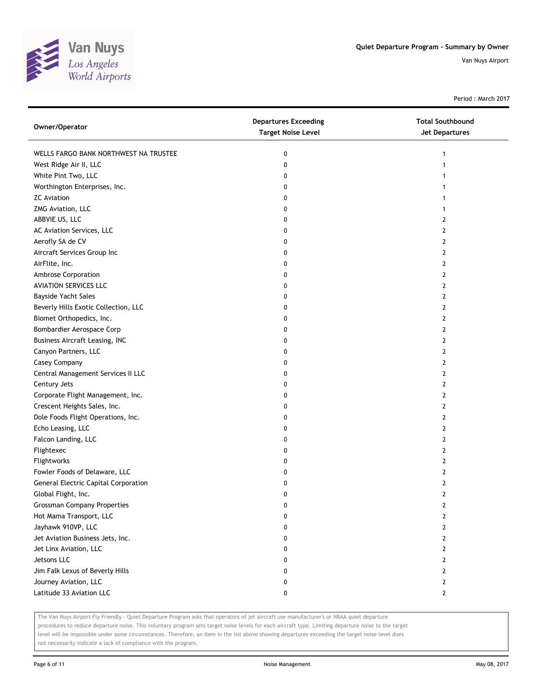

Period : March 2017

| Owner/Operator                              | <b>Departures Exceeding</b><br><b>Target Noise Level</b> | <b>Total Southbound</b><br>Jet Departures |
|---------------------------------------------|----------------------------------------------------------|-------------------------------------------|
| WELLS FARGO BANK NORTHWEST NA TRUSTEE       | 0                                                        |                                           |
| West Ridge Air II, LLC                      | 0                                                        |                                           |
| White Pint Two, LLC                         | 0                                                        |                                           |
| Worthington Enterprises, Inc.               | 0                                                        |                                           |
| <b>ZC</b> Aviation                          | 0                                                        |                                           |
| ZMG Aviation, LLC                           | 0                                                        |                                           |
| ABBVIE US, LLC                              | 0                                                        | 2                                         |
| AC Aviation Services, LLC                   | 0                                                        | 2                                         |
| Aerofly SA de CV                            | 0                                                        | 2                                         |
| Aircraft Services Group Inc                 | 0                                                        | 2                                         |
| AirFlite, Inc.                              | 0                                                        | 2                                         |
| Ambrose Corporation                         | 0                                                        | 2                                         |
| <b>AVIATION SERVICES LLC</b>                | 0                                                        | 2                                         |
| Bayside Yacht Sales                         | 0                                                        | 2                                         |
| Beverly Hills Exotic Collection, LLC        | 0                                                        | 2                                         |
| Biomet Orthopedics, Inc.                    | 0                                                        | 2                                         |
| Bombardier Aerospace Corp                   | 0                                                        | 2                                         |
| <b>Business Aircraft Leasing, INC</b>       | 0                                                        | 2                                         |
| Canyon Partners, LLC                        | 0                                                        | 2                                         |
| Casey Company                               | 0                                                        | 2                                         |
| Central Management Services II LLC          | 0                                                        | 2                                         |
| Century Jets                                | 0                                                        | 2                                         |
| Corporate Flight Management, Inc.           | 0                                                        | 2                                         |
| Crescent Heights Sales, Inc.                | 0                                                        | 2                                         |
| Dole Foods Flight Operations, Inc.          | 0                                                        | 2                                         |
| Echo Leasing, LLC                           | 0                                                        | 2                                         |
| Falcon Landing, LLC                         | 0                                                        | 2                                         |
| Flightexec                                  | 0                                                        | 2                                         |
| Flightworks                                 | 0                                                        | 2                                         |
| Fowler Foods of Delaware, LLC               | 0                                                        | 2                                         |
| <b>General Electric Capital Corporation</b> | 0                                                        | 2                                         |
| Global Flight, Inc.                         | 0                                                        | 2                                         |
| <b>Grossman Company Properties</b>          | 0                                                        | 2                                         |
| Hot Mama Transport, LLC                     | 0                                                        | 2                                         |
| Jayhawk 910VP, LLC                          | 0                                                        | 2                                         |
| Jet Aviation Business Jets, Inc.            | 0                                                        | 2                                         |
| Jet Linx Aviation, LLC                      | 0                                                        | 2                                         |
| Jetsons LLC                                 | 0                                                        | 2                                         |
| Jim Falk Lexus of Beverly Hills             | 0                                                        | 2                                         |
| Journey Aviation, LLC                       | 0                                                        | 2                                         |
| Latitude 33 Aviation LLC                    | 0                                                        | 2                                         |

The Van Nuys Airport Fly Friendly - Quiet Departure Program asks that operators of jet aircraft use manufacturer's or NBAA quiet departure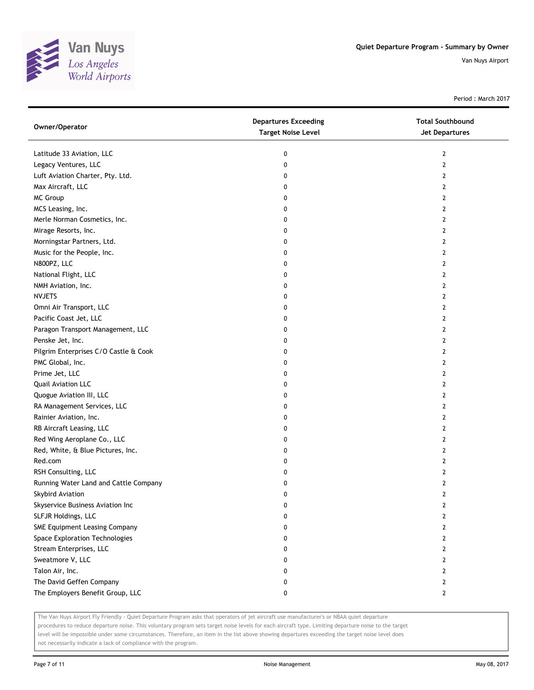

Period : March 2017

| Owner/Operator                        | <b>Departures Exceeding</b><br><b>Target Noise Level</b> | <b>Total Southbound</b><br>Jet Departures |
|---------------------------------------|----------------------------------------------------------|-------------------------------------------|
| Latitude 33 Aviation, LLC             | 0                                                        | 2                                         |
| Legacy Ventures, LLC                  | 0                                                        | $\mathbf{2}$                              |
| Luft Aviation Charter, Pty. Ltd.      | 0                                                        | 2                                         |
| Max Aircraft, LLC                     | 0                                                        | $\mathbf{2}$                              |
| MC Group                              | 0                                                        | 2                                         |
| MCS Leasing, Inc.                     | 0                                                        | 2                                         |
| Merle Norman Cosmetics, Inc.          | 0                                                        | 2                                         |
| Mirage Resorts, Inc.                  | 0                                                        | 2                                         |
| Morningstar Partners, Ltd.            | 0                                                        | $\mathbf{2}$                              |
| Music for the People, Inc.            | 0                                                        | $\mathbf{2}$                              |
| N800PZ, LLC                           | 0                                                        | 2                                         |
| National Flight, LLC                  | 0                                                        | 2                                         |
| NMH Aviation, Inc.                    | 0                                                        | 2                                         |
| <b>NVJETS</b>                         | 0                                                        | $\mathbf{2}$                              |
| Omni Air Transport, LLC               | 0                                                        | 2                                         |
| Pacific Coast Jet, LLC                | 0                                                        | 2                                         |
| Paragon Transport Management, LLC     | 0                                                        | 2                                         |
| Penske Jet, Inc.                      | 0                                                        | 2                                         |
| Pilgrim Enterprises C/O Castle & Cook | 0                                                        | $\mathbf{2}$                              |
| PMC Global, Inc.                      | 0                                                        | 2                                         |
| Prime Jet, LLC                        | 0                                                        | 2                                         |
| Quail Aviation LLC                    | 0                                                        | 2                                         |
| Quogue Aviation III, LLC              | 0                                                        | 2                                         |
| RA Management Services, LLC           | 0                                                        | $\mathbf{2}$                              |
| Rainier Aviation, Inc.                | 0                                                        | 2                                         |
| RB Aircraft Leasing, LLC              | 0                                                        | 2                                         |
| Red Wing Aeroplane Co., LLC           | 0                                                        | 2                                         |
| Red, White, & Blue Pictures, Inc.     | 0                                                        | 2                                         |
| Red.com                               | 0                                                        | $\overline{2}$                            |
| RSH Consulting, LLC                   | 0                                                        | 2                                         |
| Running Water Land and Cattle Company | 0                                                        | 2                                         |
| Skybird Aviation                      | 0                                                        | $\mathbf{2}$                              |
| Skyservice Business Aviation Inc      | 0                                                        | 2                                         |
| SLFJR Holdings, LLC                   | 0                                                        | $\overline{2}$                            |
| SME Equipment Leasing Company         | 0                                                        | 2                                         |
| Space Exploration Technologies        | 0                                                        | 2                                         |
| Stream Enterprises, LLC               | 0                                                        | 2                                         |
| Sweatmore V, LLC                      | 0                                                        | 2                                         |
| Talon Air, Inc.                       | 0                                                        | $\overline{2}$                            |
| The David Geffen Company              | 0                                                        | 2                                         |
| The Employers Benefit Group, LLC      | 0                                                        | $\mathbf{2}$                              |

The Van Nuys Airport Fly Friendly - Quiet Departure Program asks that operators of jet aircraft use manufacturer's or NBAA quiet departure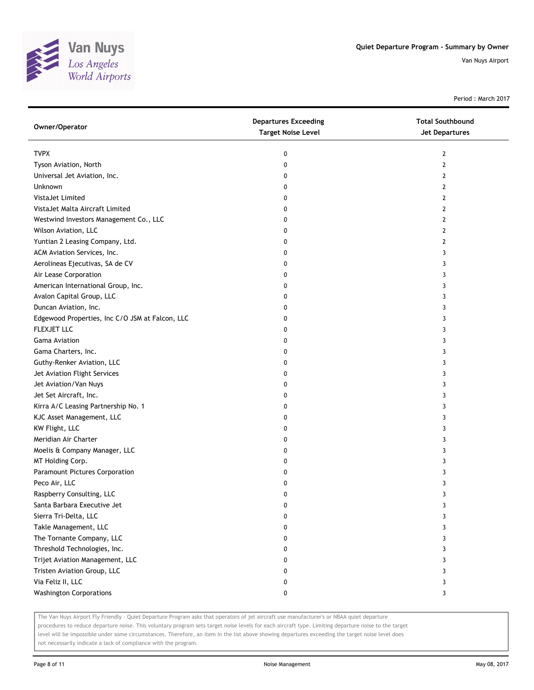

Period : March 2017

| Owner/Operator                                  | <b>Departures Exceeding</b><br><b>Target Noise Level</b> | <b>Total Southbound</b><br><b>Jet Departures</b> |
|-------------------------------------------------|----------------------------------------------------------|--------------------------------------------------|
| <b>TVPX</b>                                     | 0                                                        | 2                                                |
| Tyson Aviation, North                           | 0                                                        | 2                                                |
| Universal Jet Aviation, Inc.                    | 0                                                        | 2                                                |
| Unknown                                         | 0                                                        | 2                                                |
| VistaJet Limited                                | 0                                                        | 2                                                |
| VistaJet Malta Aircraft Limited                 | 0                                                        | 2                                                |
| Westwind Investors Management Co., LLC          | 0                                                        | 2                                                |
| Wilson Aviation, LLC                            | 0                                                        | 2                                                |
| Yuntian 2 Leasing Company, Ltd.                 | 0                                                        | 2                                                |
| ACM Aviation Services, Inc.                     | 0                                                        | 3                                                |
| Aerolineas Ejecutivas, SA de CV                 | 0                                                        | 3                                                |
| Air Lease Corporation                           | 0                                                        | 3                                                |
| American International Group, Inc.              | 0                                                        | 3                                                |
| Avalon Capital Group, LLC                       | 0                                                        | 3                                                |
| Duncan Aviation, Inc.                           | 0                                                        | 3                                                |
| Edgewood Properties, Inc C/O JSM at Falcon, LLC | 0                                                        | 3                                                |
| FLEXJET LLC                                     | 0                                                        | 3                                                |
| <b>Gama Aviation</b>                            | 0                                                        | 3                                                |
| Gama Charters, Inc.                             | 0                                                        | 3                                                |
| Guthy-Renker Aviation, LLC                      | 0                                                        | 3                                                |
| Jet Aviation Flight Services                    | 0                                                        | 3                                                |
| Jet Aviation/Van Nuys                           | 0                                                        | 3                                                |
| Jet Set Aircraft, Inc.                          | 0                                                        | 3                                                |
| Kirra A/C Leasing Partnership No. 1             | 0                                                        | 3                                                |
| KJC Asset Management, LLC                       | 0                                                        | 3                                                |
| KW Flight, LLC                                  | 0                                                        | 3                                                |
| Meridian Air Charter                            | 0                                                        | 3                                                |
| Moelis & Company Manager, LLC                   | 0                                                        | 3                                                |
| MT Holding Corp.                                | 0                                                        | 3                                                |
| Paramount Pictures Corporation                  | 0                                                        | 3                                                |
| Peco Air, LLC                                   | 0                                                        | 3                                                |
| Raspberry Consulting, LLC                       | 0                                                        | 3                                                |
| Santa Barbara Executive Jet                     | U                                                        | 3                                                |
| Sierra Tri-Delta, LLC                           | 0                                                        | 3                                                |
| Takle Management, LLC                           | 0                                                        | 3                                                |
| The Tornante Company, LLC                       | 0                                                        | 3                                                |
| Threshold Technologies, Inc.                    | 0                                                        | 3                                                |
| Trijet Aviation Management, LLC                 | 0                                                        | 3                                                |
| Tristen Aviation Group, LLC                     | 0                                                        | 3                                                |
| Via Feliz II, LLC                               | 0                                                        | 3                                                |
| <b>Washington Corporations</b>                  | 0                                                        | 3                                                |

The Van Nuys Airport Fly Friendly - Quiet Departure Program asks that operators of jet aircraft use manufacturer's or NBAA quiet departure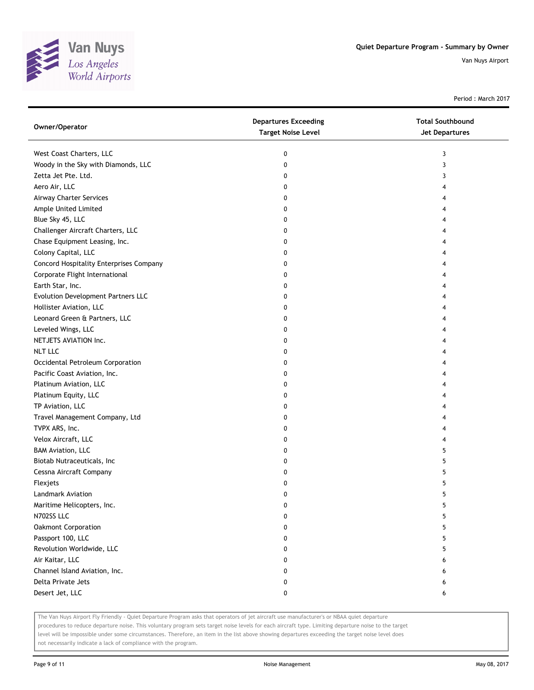

Period : March 2017

| Owner/Operator                          | <b>Departures Exceeding</b><br><b>Target Noise Level</b> | <b>Total Southbound</b><br>Jet Departures |
|-----------------------------------------|----------------------------------------------------------|-------------------------------------------|
| West Coast Charters, LLC                | 0                                                        | 3                                         |
| Woody in the Sky with Diamonds, LLC     | 0                                                        | 3                                         |
| Zetta Jet Pte. Ltd.                     | 0                                                        | 3                                         |
| Aero Air, LLC                           | 0                                                        | 4                                         |
| Airway Charter Services                 | 0                                                        |                                           |
| Ample United Limited                    | 0                                                        |                                           |
| Blue Sky 45, LLC                        | 0                                                        | 4                                         |
| Challenger Aircraft Charters, LLC       | 0                                                        |                                           |
| Chase Equipment Leasing, Inc.           | 0                                                        |                                           |
| Colony Capital, LLC                     | 0                                                        |                                           |
| Concord Hospitality Enterprises Company | 0                                                        |                                           |
| Corporate Flight International          | 0                                                        |                                           |
| Earth Star, Inc.                        | 0                                                        |                                           |
| Evolution Development Partners LLC      | 0                                                        |                                           |
| Hollister Aviation, LLC                 | 0                                                        |                                           |
| Leonard Green & Partners, LLC           | 0                                                        |                                           |
| Leveled Wings, LLC                      | 0                                                        | 4                                         |
| NETJETS AVIATION Inc.                   | 0                                                        | 4                                         |
| <b>NLT LLC</b>                          | 0                                                        |                                           |
| Occidental Petroleum Corporation        | 0                                                        |                                           |
| Pacific Coast Aviation, Inc.            | 0                                                        |                                           |
| Platinum Aviation, LLC                  | 0                                                        |                                           |
| Platinum Equity, LLC                    | 0                                                        |                                           |
| TP Aviation, LLC                        | 0                                                        |                                           |
| Travel Management Company, Ltd          | 0                                                        |                                           |
| TVPX ARS, Inc.                          | 0                                                        |                                           |
| Velox Aircraft, LLC                     | 0                                                        | 4                                         |
| <b>BAM Aviation, LLC</b>                | 0                                                        | 5                                         |
| Biotab Nutraceuticals, Inc              | 0                                                        | 5                                         |
| Cessna Aircraft Company                 | 0                                                        | 5                                         |
| Flexjets                                | 0                                                        | 5                                         |
| Landmark Aviation                       | 0                                                        | 5                                         |
| Maritime Helicopters, Inc.              | 0                                                        | 5                                         |
| N702SS LLC                              | 0                                                        | 5                                         |
| Oakmont Corporation                     | 0                                                        | 5                                         |
| Passport 100, LLC                       | 0                                                        | 5                                         |
| Revolution Worldwide, LLC               | 0                                                        | 5                                         |
| Air Kaitar, LLC                         | 0                                                        | 6                                         |
| Channel Island Aviation, Inc.           | 0                                                        | 6                                         |
| Delta Private Jets                      | 0                                                        | 6                                         |
| Desert Jet, LLC                         | 0                                                        | 6                                         |

The Van Nuys Airport Fly Friendly - Quiet Departure Program asks that operators of jet aircraft use manufacturer's or NBAA quiet departure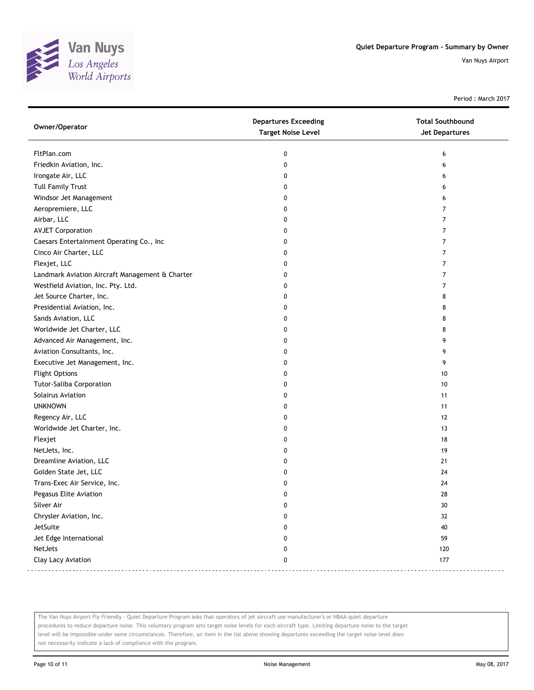

Period : March 2017

| <b>Target Noise Level</b><br><b>Jet Departures</b>        |  |
|-----------------------------------------------------------|--|
| FltPlan.com<br>0<br>6                                     |  |
| Friedkin Aviation, Inc.<br>0<br>6                         |  |
| Irongate Air, LLC<br>0<br>6                               |  |
| <b>Tull Family Trust</b><br>0<br>6                        |  |
| Windsor Jet Management<br>0<br>6                          |  |
| Aeropremiere, LLC<br>0<br>7                               |  |
| Airbar, LLC<br>7<br>0                                     |  |
| <b>AVJET Corporation</b><br>7<br>0                        |  |
| Caesars Entertainment Operating Co., Inc<br>7<br>0        |  |
| Cinco Air Charter, LLC<br>0<br>7                          |  |
| Flexjet, LLC<br>7<br>0                                    |  |
| Landmark Aviation Aircraft Management & Charter<br>7<br>0 |  |
| Westfield Aviation, Inc. Pty. Ltd.<br>0<br>7              |  |
| Jet Source Charter, Inc.<br>0<br>8                        |  |
| Presidential Aviation, Inc.<br>0<br>8                     |  |
| Sands Aviation, LLC<br>0<br>8                             |  |
| Worldwide Jet Charter, LLC<br>0<br>8                      |  |
| Advanced Air Management, Inc.<br>9<br>0                   |  |
| Aviation Consultants, Inc.<br>9<br>0                      |  |
| Executive Jet Management, Inc.<br>0<br>9                  |  |
| <b>Flight Options</b><br>0<br>10                          |  |
| <b>Tutor-Saliba Corporation</b><br>0<br>10                |  |
| Solairus Aviation<br>0<br>11                              |  |
| <b>UNKNOWN</b><br>0<br>11                                 |  |
| Regency Air, LLC<br>0<br>12                               |  |
| Worldwide Jet Charter, Inc.<br>0<br>13                    |  |
| Flexjet<br>0<br>18                                        |  |
| NetJets, Inc.<br>19<br>0                                  |  |
| Dreamline Aviation, LLC<br>21<br>0                        |  |
| Golden State Jet, LLC<br>0<br>24                          |  |
| Trans-Exec Air Service, Inc.<br>0<br>24                   |  |
| Pegasus Elite Aviation<br>0<br>28                         |  |
| Silver Air<br>0<br>30                                     |  |
| Chrysler Aviation, Inc.<br>32<br>0                        |  |
| JetSuite<br>40<br>0                                       |  |
| Jet Edge International<br>59<br>0                         |  |
| NetJets<br>120<br>0                                       |  |
| Clay Lacy Aviation<br>0<br>177                            |  |

The Van Nuys Airport Fly Friendly - Quiet Departure Program asks that operators of jet aircraft use manufacturer's or NBAA quiet departure procedures to reduce departure noise. This voluntary program sets target noise levels for each aircraft type. Limiting departure noise to the target level will be impossible under some circumstances. Therefore, an item in the list above showing departures exceeding the target noise level does not necessarily indicate a lack of compliance with the program.